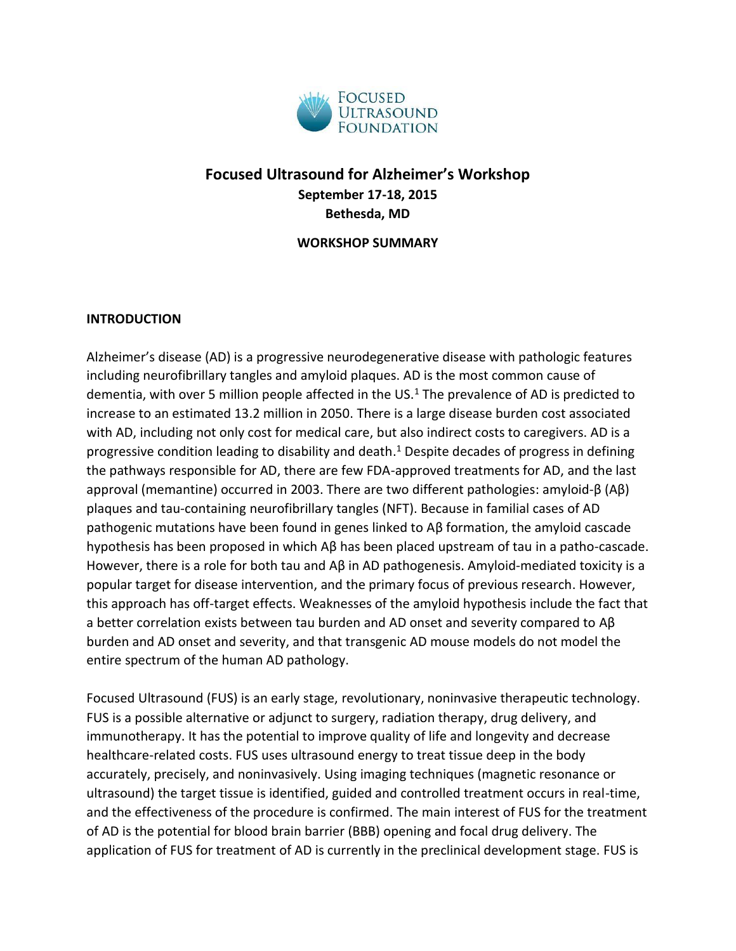

# **Focused Ultrasound for Alzheimer's Workshop September 17-18, 2015 Bethesda, MD**

**WORKSHOP SUMMARY**

### **INTRODUCTION**

Alzheimer's disease (AD) is a progressive neurodegenerative disease with pathologic features including neurofibrillary tangles and amyloid plaques. AD is the most common cause of dementia, with over 5 million people affected in the US.<sup>1</sup> The prevalence of AD is predicted to increase to an estimated 13.2 million in 2050. There is a large disease burden cost associated with AD, including not only cost for medical care, but also indirect costs to caregivers. AD is a progressive condition leading to disability and death. <sup>1</sup> Despite decades of progress in defining the pathways responsible for AD, there are few FDA-approved treatments for AD, and the last approval (memantine) occurred in 2003. There are two different pathologies: amyloid-β (Aβ) plaques and tau-containing neurofibrillary tangles (NFT). Because in familial cases of AD pathogenic mutations have been found in genes linked to Aβ formation, the amyloid cascade hypothesis has been proposed in which Aβ has been placed upstream of tau in a patho-cascade. However, there is a role for both tau and Aβ in AD pathogenesis. Amyloid-mediated toxicity is a popular target for disease intervention, and the primary focus of previous research. However, this approach has off-target effects. Weaknesses of the amyloid hypothesis include the fact that a better correlation exists between tau burden and AD onset and severity compared to Aβ burden and AD onset and severity, and that transgenic AD mouse models do not model the entire spectrum of the human AD pathology.

Focused Ultrasound (FUS) is an early stage, revolutionary, noninvasive therapeutic technology. FUS is a possible alternative or adjunct to surgery, radiation therapy, drug delivery, and immunotherapy. It has the potential to improve quality of life and longevity and decrease healthcare-related costs. FUS uses ultrasound energy to treat tissue deep in the body accurately, precisely, and noninvasively. Using imaging techniques (magnetic resonance or ultrasound) the target tissue is identified, guided and controlled treatment occurs in real-time, and the effectiveness of the procedure is confirmed. The main interest of FUS for the treatment of AD is the potential for blood brain barrier (BBB) opening and focal drug delivery. The application of FUS for treatment of AD is currently in the preclinical development stage. FUS is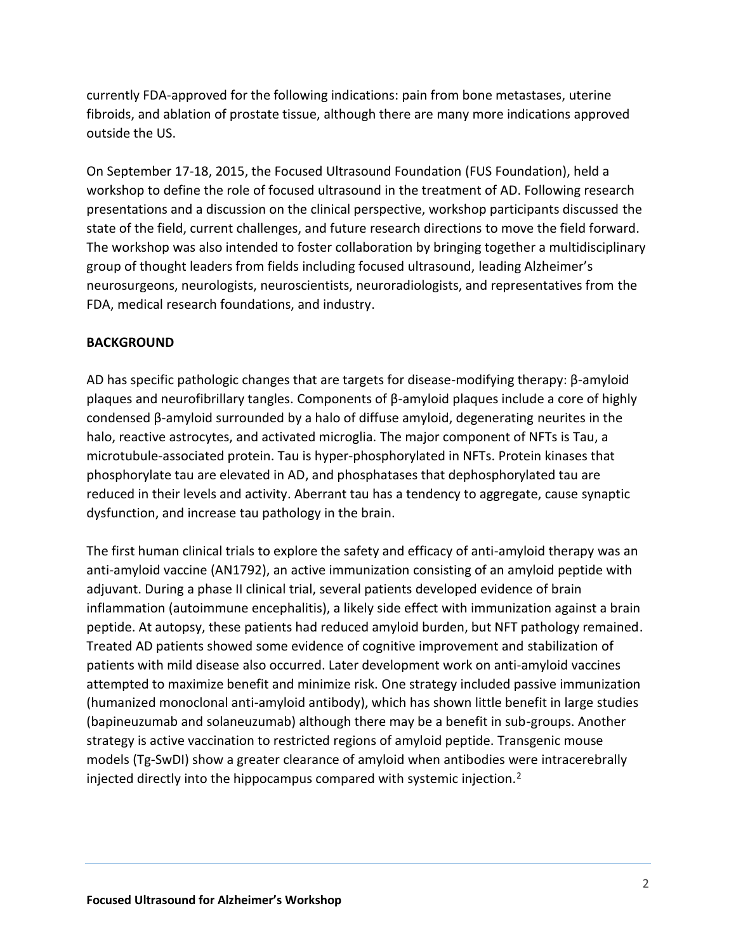currently FDA-approved for the following indications: pain from bone metastases, uterine fibroids, and ablation of prostate tissue, although there are many more indications approved outside the US.

On September 17-18, 2015, the Focused Ultrasound Foundation (FUS Foundation), held a workshop to define the role of focused ultrasound in the treatment of AD. Following research presentations and a discussion on the clinical perspective, workshop participants discussed the state of the field, current challenges, and future research directions to move the field forward. The workshop was also intended to foster collaboration by bringing together a multidisciplinary group of thought leaders from fields including focused ultrasound, leading Alzheimer's neurosurgeons, neurologists, neuroscientists, neuroradiologists, and representatives from the FDA, medical research foundations, and industry.

## **BACKGROUND**

AD has specific pathologic changes that are targets for disease-modifying therapy: β-amyloid plaques and neurofibrillary tangles. Components of β-amyloid plaques include a core of highly condensed β-amyloid surrounded by a halo of diffuse amyloid, degenerating neurites in the halo, reactive astrocytes, and activated microglia. The major component of NFTs is Tau, a microtubule-associated protein. Tau is hyper-phosphorylated in NFTs. Protein kinases that phosphorylate tau are elevated in AD, and phosphatases that dephosphorylated tau are reduced in their levels and activity. Aberrant tau has a tendency to aggregate, cause synaptic dysfunction, and increase tau pathology in the brain.

The first human clinical trials to explore the safety and efficacy of anti-amyloid therapy was an anti-amyloid vaccine (AN1792), an active immunization consisting of an amyloid peptide with adjuvant. During a phase II clinical trial, several patients developed evidence of brain inflammation (autoimmune encephalitis), a likely side effect with immunization against a brain peptide. At autopsy, these patients had reduced amyloid burden, but NFT pathology remained. Treated AD patients showed some evidence of cognitive improvement and stabilization of patients with mild disease also occurred. Later development work on anti-amyloid vaccines attempted to maximize benefit and minimize risk. One strategy included passive immunization (humanized monoclonal anti-amyloid antibody), which has shown little benefit in large studies (bapineuzumab and solaneuzumab) although there may be a benefit in sub-groups. Another strategy is active vaccination to restricted regions of amyloid peptide. Transgenic mouse models (Tg-SwDI) show a greater clearance of amyloid when antibodies were intracerebrally injected directly into the hippocampus compared with systemic injection.2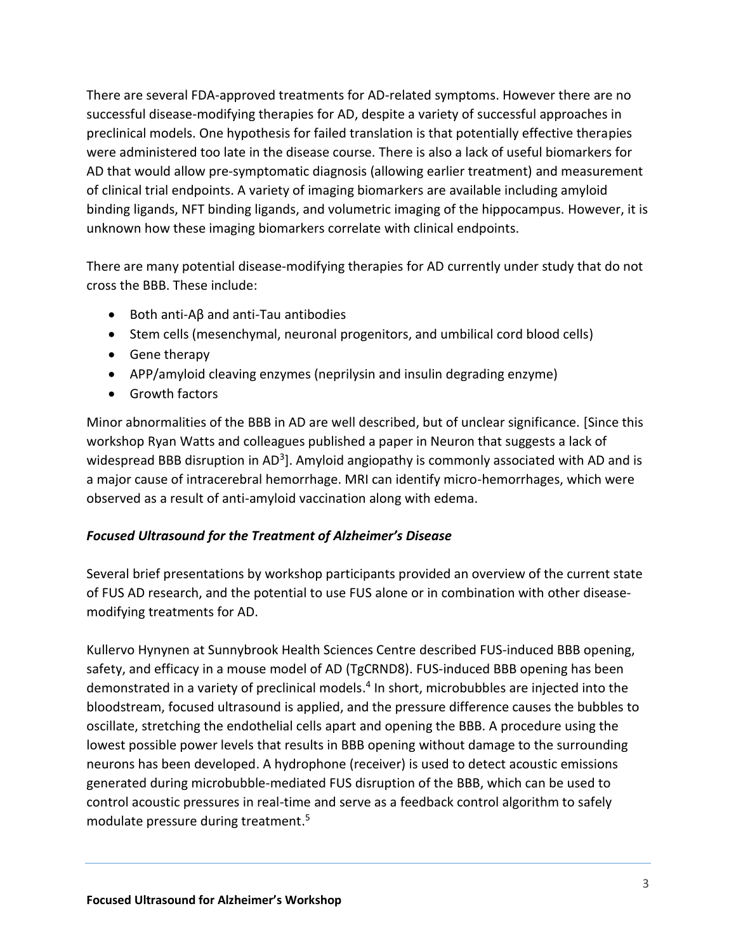There are several FDA-approved treatments for AD-related symptoms. However there are no successful disease-modifying therapies for AD, despite a variety of successful approaches in preclinical models. One hypothesis for failed translation is that potentially effective therapies were administered too late in the disease course. There is also a lack of useful biomarkers for AD that would allow pre-symptomatic diagnosis (allowing earlier treatment) and measurement of clinical trial endpoints. A variety of imaging biomarkers are available including amyloid binding ligands, NFT binding ligands, and volumetric imaging of the hippocampus. However, it is unknown how these imaging biomarkers correlate with clinical endpoints.

There are many potential disease-modifying therapies for AD currently under study that do not cross the BBB. These include:

- $\bullet$  Both anti-Aβ and anti-Tau antibodies
- Stem cells (mesenchymal, neuronal progenitors, and umbilical cord blood cells)
- Gene therapy
- APP/amyloid cleaving enzymes (neprilysin and insulin degrading enzyme)
- Growth factors

Minor abnormalities of the BBB in AD are well described, but of unclear significance. [Since this workshop Ryan Watts and colleagues published a paper in Neuron that suggests a lack of widespread BBB disruption in AD<sup>3</sup>]. Amyloid angiopathy is commonly associated with AD and is a major cause of intracerebral hemorrhage. MRI can identify micro-hemorrhages, which were observed as a result of anti-amyloid vaccination along with edema.

## *Focused Ultrasound for the Treatment of Alzheimer's Disease*

Several brief presentations by workshop participants provided an overview of the current state of FUS AD research, and the potential to use FUS alone or in combination with other diseasemodifying treatments for AD.

Kullervo Hynynen at Sunnybrook Health Sciences Centre described FUS-induced BBB opening, safety, and efficacy in a mouse model of AD (TgCRND8). FUS-induced BBB opening has been demonstrated in a variety of preclinical models. 4 In short, microbubbles are injected into the bloodstream, focused ultrasound is applied, and the pressure difference causes the bubbles to oscillate, stretching the endothelial cells apart and opening the BBB. A procedure using the lowest possible power levels that results in BBB opening without damage to the surrounding neurons has been developed. A hydrophone (receiver) is used to detect acoustic emissions generated during microbubble-mediated FUS disruption of the BBB, which can be used to control acoustic pressures in real-time and serve as a feedback control algorithm to safely modulate pressure during treatment. 5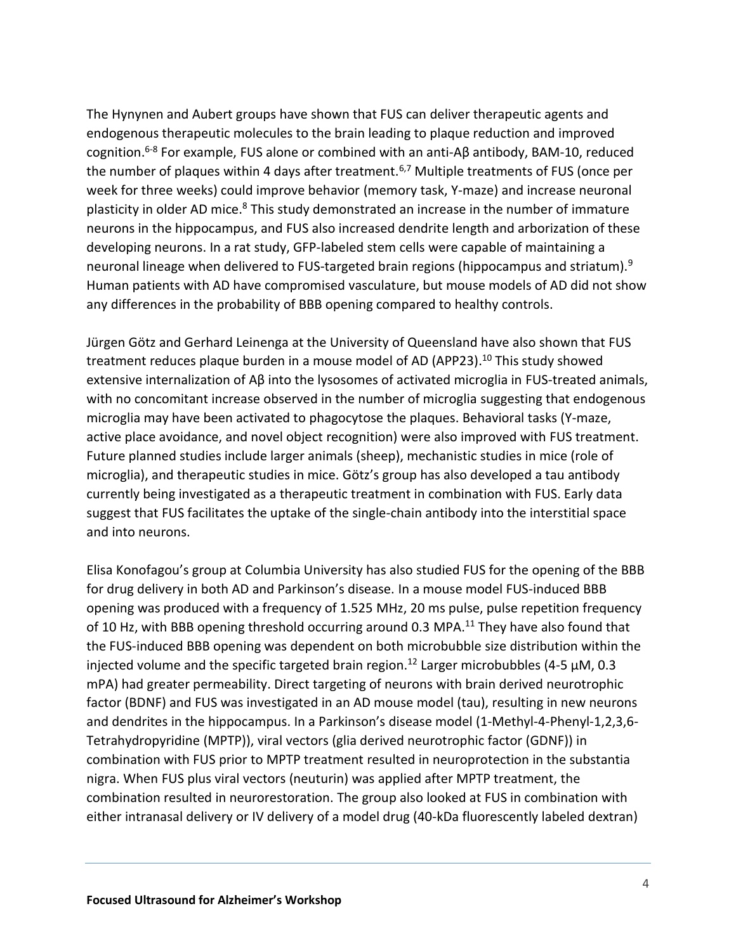The Hynynen and Aubert groups have shown that FUS can deliver therapeutic agents and endogenous therapeutic molecules to the brain leading to plaque reduction and improved cognition. 6-8 For example, FUS alone or combined with an anti-Aβ antibody, BAM-10, reduced the number of plaques within 4 days after treatment.<sup>6,7</sup> Multiple treatments of FUS (once per week for three weeks) could improve behavior (memory task, Y-maze) and increase neuronal plasticity in older AD mice.<sup>8</sup> This study demonstrated an increase in the number of immature neurons in the hippocampus, and FUS also increased dendrite length and arborization of these developing neurons. In a rat study, GFP-labeled stem cells were capable of maintaining a neuronal lineage when delivered to FUS-targeted brain regions (hippocampus and striatum).<sup>9</sup> Human patients with AD have compromised vasculature, but mouse models of AD did not show any differences in the probability of BBB opening compared to healthy controls.

Jürgen Götz and Gerhard Leinenga at the University of Queensland have also shown that FUS treatment reduces plaque burden in a mouse model of AD (APP23). <sup>10</sup> This study showed extensive internalization of Aβ into the lysosomes of activated microglia in FUS-treated animals, with no concomitant increase observed in the number of microglia suggesting that endogenous microglia may have been activated to phagocytose the plaques. Behavioral tasks (Y-maze, active place avoidance, and novel object recognition) were also improved with FUS treatment. Future planned studies include larger animals (sheep), mechanistic studies in mice (role of microglia), and therapeutic studies in mice. Götz's group has also developed a tau antibody currently being investigated as a therapeutic treatment in combination with FUS. Early data suggest that FUS facilitates the uptake of the single-chain antibody into the interstitial space and into neurons.

Elisa Konofagou's group at Columbia University has also studied FUS for the opening of the BBB for drug delivery in both AD and Parkinson's disease. In a mouse model FUS-induced BBB opening was produced with a frequency of 1.525 MHz, 20 ms pulse, pulse repetition frequency of 10 Hz, with BBB opening threshold occurring around 0.3 MPA.<sup>11</sup> They have also found that the FUS-induced BBB opening was dependent on both microbubble size distribution within the injected volume and the specific targeted brain region.<sup>12</sup> Larger microbubbles (4-5  $\mu$ M, 0.3 mPA) had greater permeability. Direct targeting of neurons with brain derived neurotrophic factor (BDNF) and FUS was investigated in an AD mouse model (tau), resulting in new neurons and dendrites in the hippocampus. In a Parkinson's disease model (1-Methyl-4-Phenyl-1,2,3,6- Tetrahydropyridine (MPTP)), viral vectors (glia derived neurotrophic factor (GDNF)) in combination with FUS prior to MPTP treatment resulted in neuroprotection in the substantia nigra. When FUS plus viral vectors (neuturin) was applied after MPTP treatment, the combination resulted in neurorestoration. The group also looked at FUS in combination with either intranasal delivery or IV delivery of a model drug (40-kDa fluorescently labeled dextran)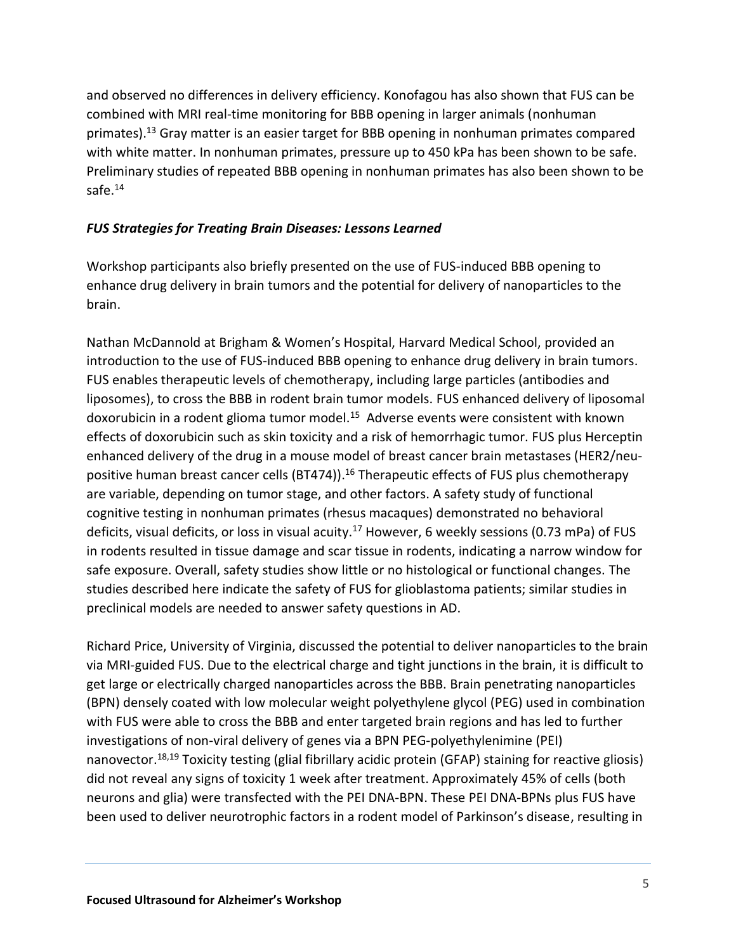and observed no differences in delivery efficiency. Konofagou has also shown that FUS can be combined with MRI real-time monitoring for BBB opening in larger animals (nonhuman primates).<sup>13</sup> Gray matter is an easier target for BBB opening in nonhuman primates compared with white matter. In nonhuman primates, pressure up to 450 kPa has been shown to be safe. Preliminary studies of repeated BBB opening in nonhuman primates has also been shown to be safe.<sup>14</sup>

## *FUS Strategies for Treating Brain Diseases: Lessons Learned*

Workshop participants also briefly presented on the use of FUS-induced BBB opening to enhance drug delivery in brain tumors and the potential for delivery of nanoparticles to the brain.

Nathan McDannold at Brigham & Women's Hospital, Harvard Medical School, provided an introduction to the use of FUS-induced BBB opening to enhance drug delivery in brain tumors. FUS enables therapeutic levels of chemotherapy, including large particles (antibodies and liposomes), to cross the BBB in rodent brain tumor models. FUS enhanced delivery of liposomal doxorubicin in a rodent glioma tumor model.<sup>15</sup> Adverse events were consistent with known effects of doxorubicin such as skin toxicity and a risk of hemorrhagic tumor. FUS plus Herceptin enhanced delivery of the drug in a mouse model of breast cancer brain metastases (HER2/neupositive human breast cancer cells (BT474)).<sup>16</sup> Therapeutic effects of FUS plus chemotherapy are variable, depending on tumor stage, and other factors. A safety study of functional cognitive testing in nonhuman primates (rhesus macaques) demonstrated no behavioral deficits, visual deficits, or loss in visual acuity.<sup>17</sup> However, 6 weekly sessions (0.73 mPa) of FUS in rodents resulted in tissue damage and scar tissue in rodents, indicating a narrow window for safe exposure. Overall, safety studies show little or no histological or functional changes. The studies described here indicate the safety of FUS for glioblastoma patients; similar studies in preclinical models are needed to answer safety questions in AD.

Richard Price, University of Virginia, discussed the potential to deliver nanoparticles to the brain via MRI-guided FUS. Due to the electrical charge and tight junctions in the brain, it is difficult to get large or electrically charged nanoparticles across the BBB. Brain penetrating nanoparticles (BPN) densely coated with low molecular weight polyethylene glycol (PEG) used in combination with FUS were able to cross the BBB and enter targeted brain regions and has led to further investigations of non-viral delivery of genes via a BPN PEG-polyethylenimine (PEI) nanovector.<sup>18,19</sup> Toxicity testing (glial fibrillary acidic protein (GFAP) staining for reactive gliosis) did not reveal any signs of toxicity 1 week after treatment. Approximately 45% of cells (both neurons and glia) were transfected with the PEI DNA-BPN. These PEI DNA-BPNs plus FUS have been used to deliver neurotrophic factors in a rodent model of Parkinson's disease, resulting in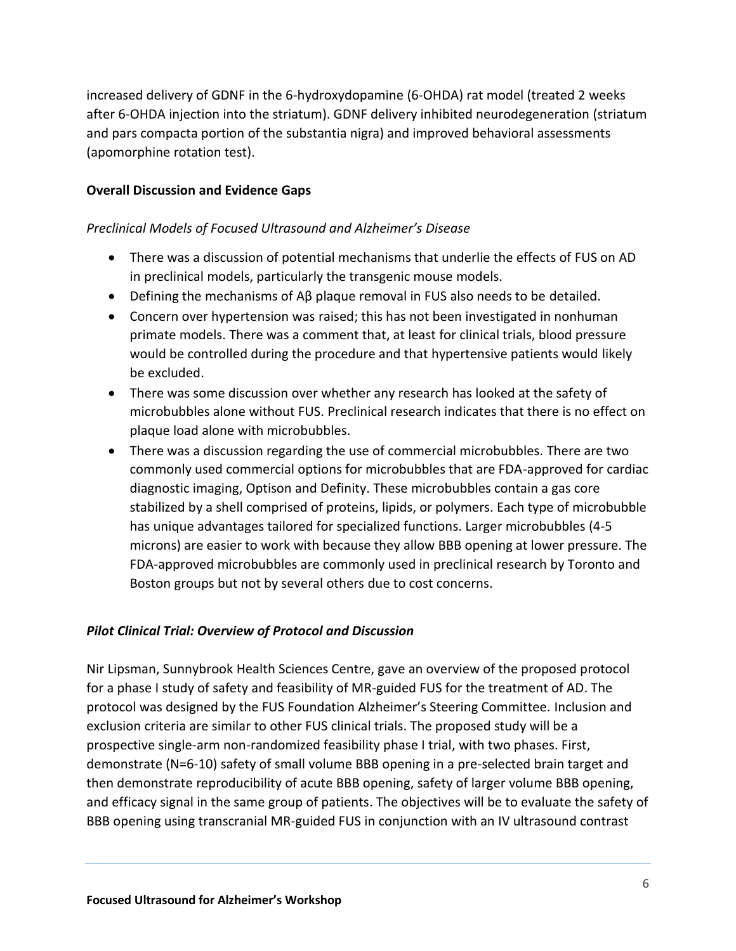increased delivery of GDNF in the 6-hydroxydopamine (6-OHDA) rat model (treated 2 weeks after 6-OHDA injection into the striatum). GDNF delivery inhibited neurodegeneration (striatum and pars compacta portion of the substantia nigra) and improved behavioral assessments (apomorphine rotation test).

## **Overall Discussion and Evidence Gaps**

### *Preclinical Models of Focused Ultrasound and Alzheimer's Disease*

- There was a discussion of potential mechanisms that underlie the effects of FUS on AD in preclinical models, particularly the transgenic mouse models.
- Defining the mechanisms of Aβ plaque removal in FUS also needs to be detailed.
- Concern over hypertension was raised; this has not been investigated in nonhuman primate models. There was a comment that, at least for clinical trials, blood pressure would be controlled during the procedure and that hypertensive patients would likely be excluded.
- There was some discussion over whether any research has looked at the safety of microbubbles alone without FUS. Preclinical research indicates that there is no effect on plaque load alone with microbubbles.
- There was a discussion regarding the use of commercial microbubbles. There are two commonly used commercial options for microbubbles that are FDA-approved for cardiac diagnostic imaging, Optison and Definity. These microbubbles contain a gas core stabilized by a shell comprised of proteins, lipids, or polymers. Each type of microbubble has unique advantages tailored for specialized functions. Larger microbubbles (4-5 microns) are easier to work with because they allow BBB opening at lower pressure. The FDA-approved microbubbles are commonly used in preclinical research by Toronto and Boston groups but not by several others due to cost concerns.

## *Pilot Clinical Trial: Overview of Protocol and Discussion*

Nir Lipsman, Sunnybrook Health Sciences Centre, gave an overview of the proposed protocol for a phase I study of safety and feasibility of MR-guided FUS for the treatment of AD. The protocol was designed by the FUS Foundation Alzheimer's Steering Committee. Inclusion and exclusion criteria are similar to other FUS clinical trials. The proposed study will be a prospective single-arm non-randomized feasibility phase I trial, with two phases. First, demonstrate (N=6-10) safety of small volume BBB opening in a pre-selected brain target and then demonstrate reproducibility of acute BBB opening, safety of larger volume BBB opening, and efficacy signal in the same group of patients. The objectives will be to evaluate the safety of BBB opening using transcranial MR-guided FUS in conjunction with an IV ultrasound contrast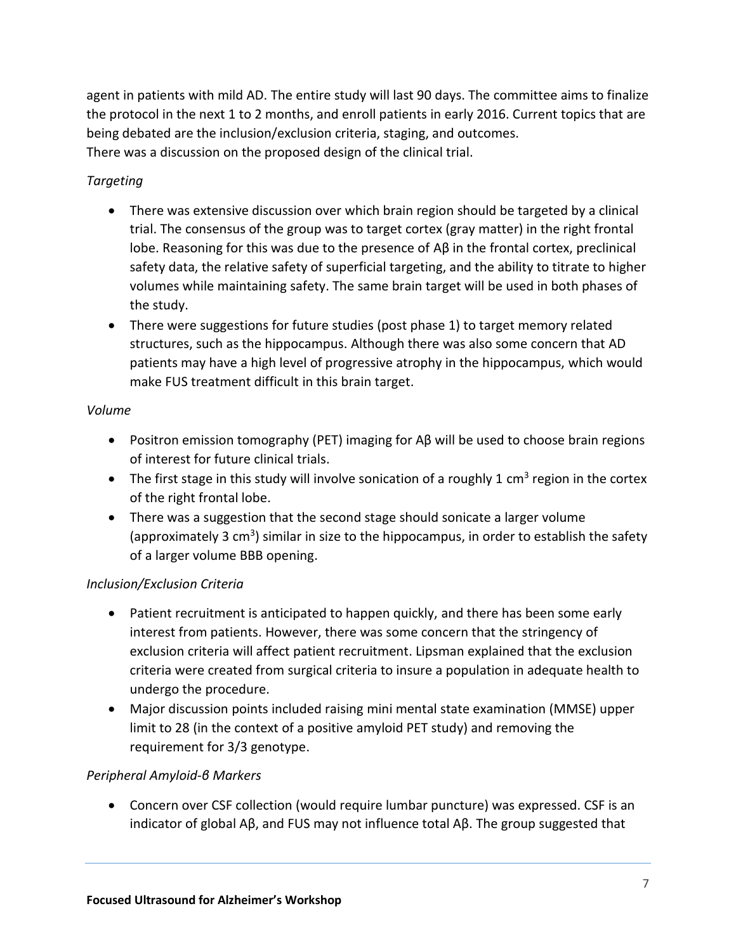agent in patients with mild AD. The entire study will last 90 days. The committee aims to finalize the protocol in the next 1 to 2 months, and enroll patients in early 2016. Current topics that are being debated are the inclusion/exclusion criteria, staging, and outcomes. There was a discussion on the proposed design of the clinical trial.

# *Targeting*

- There was extensive discussion over which brain region should be targeted by a clinical trial. The consensus of the group was to target cortex (gray matter) in the right frontal lobe. Reasoning for this was due to the presence of Aβ in the frontal cortex, preclinical safety data, the relative safety of superficial targeting, and the ability to titrate to higher volumes while maintaining safety. The same brain target will be used in both phases of the study.
- There were suggestions for future studies (post phase 1) to target memory related structures, such as the hippocampus. Although there was also some concern that AD patients may have a high level of progressive atrophy in the hippocampus, which would make FUS treatment difficult in this brain target.

## *Volume*

- Positron emission tomography (PET) imaging for  $\beta$  will be used to choose brain regions of interest for future clinical trials.
- The first stage in this study will involve sonication of a roughly 1 cm<sup>3</sup> region in the cortex of the right frontal lobe.
- There was a suggestion that the second stage should sonicate a larger volume (approximately 3 cm<sup>3</sup>) similar in size to the hippocampus, in order to establish the safety of a larger volume BBB opening.

# *Inclusion/Exclusion Criteria*

- Patient recruitment is anticipated to happen quickly, and there has been some early interest from patients. However, there was some concern that the stringency of exclusion criteria will affect patient recruitment. Lipsman explained that the exclusion criteria were created from surgical criteria to insure a population in adequate health to undergo the procedure.
- Major discussion points included raising mini mental state examination (MMSE) upper limit to 28 (in the context of a positive amyloid PET study) and removing the requirement for 3/3 genotype.

# *Peripheral Amyloid-β Markers*

 Concern over CSF collection (would require lumbar puncture) was expressed. CSF is an indicator of global Aβ, and FUS may not influence total Aβ. The group suggested that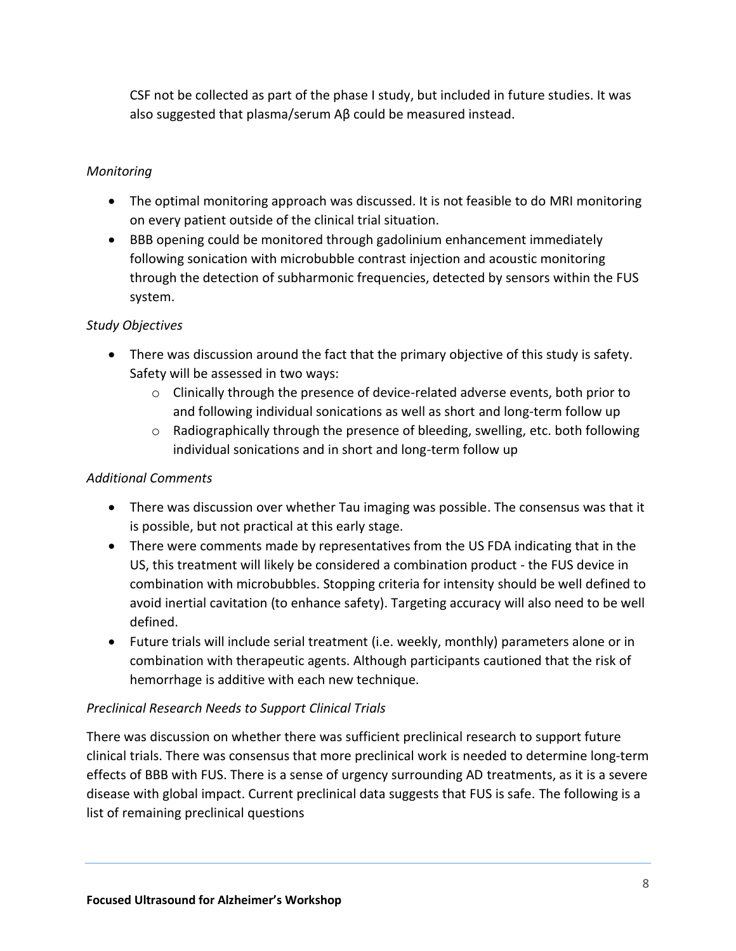CSF not be collected as part of the phase I study, but included in future studies. It was also suggested that plasma/serum Aβ could be measured instead.

## *Monitoring*

- The optimal monitoring approach was discussed. It is not feasible to do MRI monitoring on every patient outside of the clinical trial situation.
- BBB opening could be monitored through gadolinium enhancement immediately following sonication with microbubble contrast injection and acoustic monitoring through the detection of subharmonic frequencies, detected by sensors within the FUS system.

## *Study Objectives*

- There was discussion around the fact that the primary objective of this study is safety. Safety will be assessed in two ways:
	- $\circ$  Clinically through the presence of device-related adverse events, both prior to and following individual sonications as well as short and long-term follow up
	- $\circ$  Radiographically through the presence of bleeding, swelling, etc. both following individual sonications and in short and long-term follow up

## *Additional Comments*

- There was discussion over whether Tau imaging was possible. The consensus was that it is possible, but not practical at this early stage.
- There were comments made by representatives from the US FDA indicating that in the US, this treatment will likely be considered a combination product - the FUS device in combination with microbubbles. Stopping criteria for intensity should be well defined to avoid inertial cavitation (to enhance safety). Targeting accuracy will also need to be well defined.
- Future trials will include serial treatment (i.e. weekly, monthly) parameters alone or in combination with therapeutic agents. Although participants cautioned that the risk of hemorrhage is additive with each new technique.

## *Preclinical Research Needs to Support Clinical Trials*

There was discussion on whether there was sufficient preclinical research to support future clinical trials. There was consensus that more preclinical work is needed to determine long-term effects of BBB with FUS. There is a sense of urgency surrounding AD treatments, as it is a severe disease with global impact. Current preclinical data suggests that FUS is safe. The following is a list of remaining preclinical questions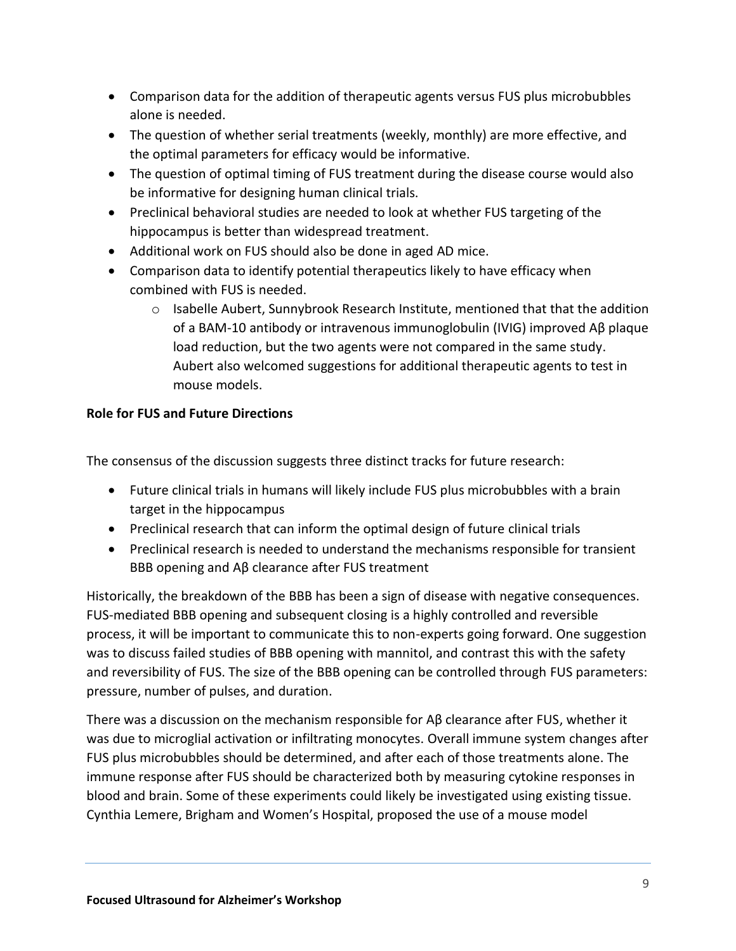- Comparison data for the addition of therapeutic agents versus FUS plus microbubbles alone is needed.
- The question of whether serial treatments (weekly, monthly) are more effective, and the optimal parameters for efficacy would be informative.
- The question of optimal timing of FUS treatment during the disease course would also be informative for designing human clinical trials.
- Preclinical behavioral studies are needed to look at whether FUS targeting of the hippocampus is better than widespread treatment.
- Additional work on FUS should also be done in aged AD mice.
- Comparison data to identify potential therapeutics likely to have efficacy when combined with FUS is needed.
	- $\circ$  Isabelle Aubert, Sunnybrook Research Institute, mentioned that that the addition of a BAM-10 antibody or intravenous immunoglobulin (IVIG) improved Aβ plaque load reduction, but the two agents were not compared in the same study. Aubert also welcomed suggestions for additional therapeutic agents to test in mouse models.

# **Role for FUS and Future Directions**

The consensus of the discussion suggests three distinct tracks for future research:

- Future clinical trials in humans will likely include FUS plus microbubbles with a brain target in the hippocampus
- Preclinical research that can inform the optimal design of future clinical trials
- Preclinical research is needed to understand the mechanisms responsible for transient BBB opening and Aβ clearance after FUS treatment

Historically, the breakdown of the BBB has been a sign of disease with negative consequences. FUS-mediated BBB opening and subsequent closing is a highly controlled and reversible process, it will be important to communicate this to non-experts going forward. One suggestion was to discuss failed studies of BBB opening with mannitol, and contrast this with the safety and reversibility of FUS. The size of the BBB opening can be controlled through FUS parameters: pressure, number of pulses, and duration.

There was a discussion on the mechanism responsible for Aβ clearance after FUS, whether it was due to microglial activation or infiltrating monocytes. Overall immune system changes after FUS plus microbubbles should be determined, and after each of those treatments alone. The immune response after FUS should be characterized both by measuring cytokine responses in blood and brain. Some of these experiments could likely be investigated using existing tissue. Cynthia Lemere, Brigham and Women's Hospital, proposed the use of a mouse model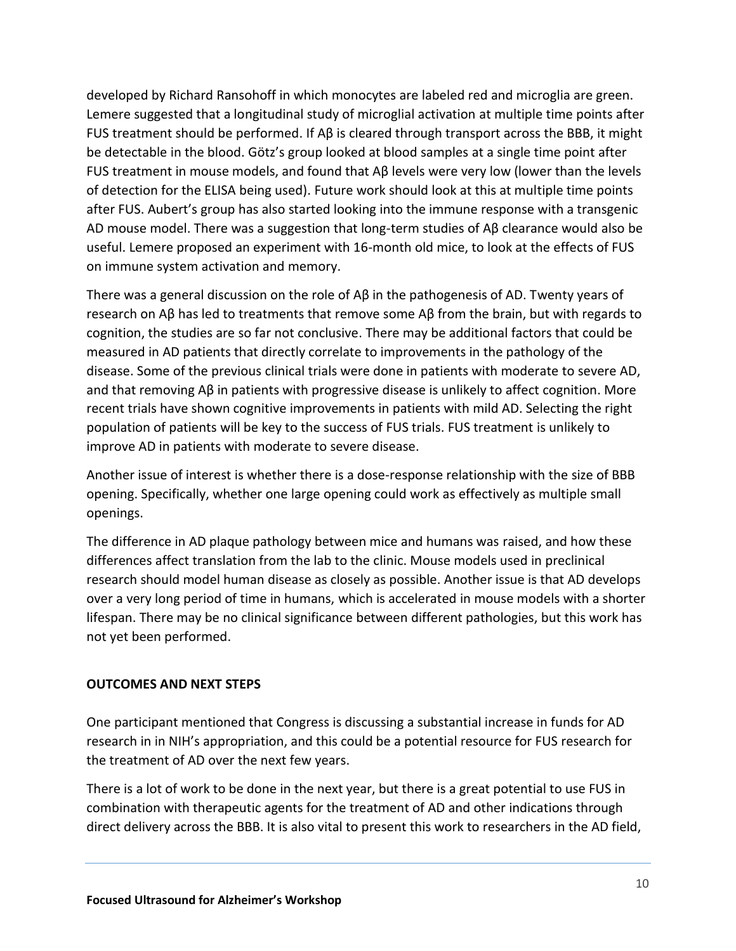developed by Richard Ransohoff in which monocytes are labeled red and microglia are green. Lemere suggested that a longitudinal study of microglial activation at multiple time points after FUS treatment should be performed. If Aβ is cleared through transport across the BBB, it might be detectable in the blood. Götz's group looked at blood samples at a single time point after FUS treatment in mouse models, and found that Aβ levels were very low (lower than the levels of detection for the ELISA being used). Future work should look at this at multiple time points after FUS. Aubert's group has also started looking into the immune response with a transgenic AD mouse model. There was a suggestion that long-term studies of Aβ clearance would also be useful. Lemere proposed an experiment with 16-month old mice, to look at the effects of FUS on immune system activation and memory.

There was a general discussion on the role of Aβ in the pathogenesis of AD. Twenty years of research on Aβ has led to treatments that remove some Aβ from the brain, but with regards to cognition, the studies are so far not conclusive. There may be additional factors that could be measured in AD patients that directly correlate to improvements in the pathology of the disease. Some of the previous clinical trials were done in patients with moderate to severe AD, and that removing Aβ in patients with progressive disease is unlikely to affect cognition. More recent trials have shown cognitive improvements in patients with mild AD. Selecting the right population of patients will be key to the success of FUS trials. FUS treatment is unlikely to improve AD in patients with moderate to severe disease.

Another issue of interest is whether there is a dose-response relationship with the size of BBB opening. Specifically, whether one large opening could work as effectively as multiple small openings.

The difference in AD plaque pathology between mice and humans was raised, and how these differences affect translation from the lab to the clinic. Mouse models used in preclinical research should model human disease as closely as possible. Another issue is that AD develops over a very long period of time in humans, which is accelerated in mouse models with a shorter lifespan. There may be no clinical significance between different pathologies, but this work has not yet been performed.

### **OUTCOMES AND NEXT STEPS**

One participant mentioned that Congress is discussing a substantial increase in funds for AD research in in NIH's appropriation, and this could be a potential resource for FUS research for the treatment of AD over the next few years.

There is a lot of work to be done in the next year, but there is a great potential to use FUS in combination with therapeutic agents for the treatment of AD and other indications through direct delivery across the BBB. It is also vital to present this work to researchers in the AD field,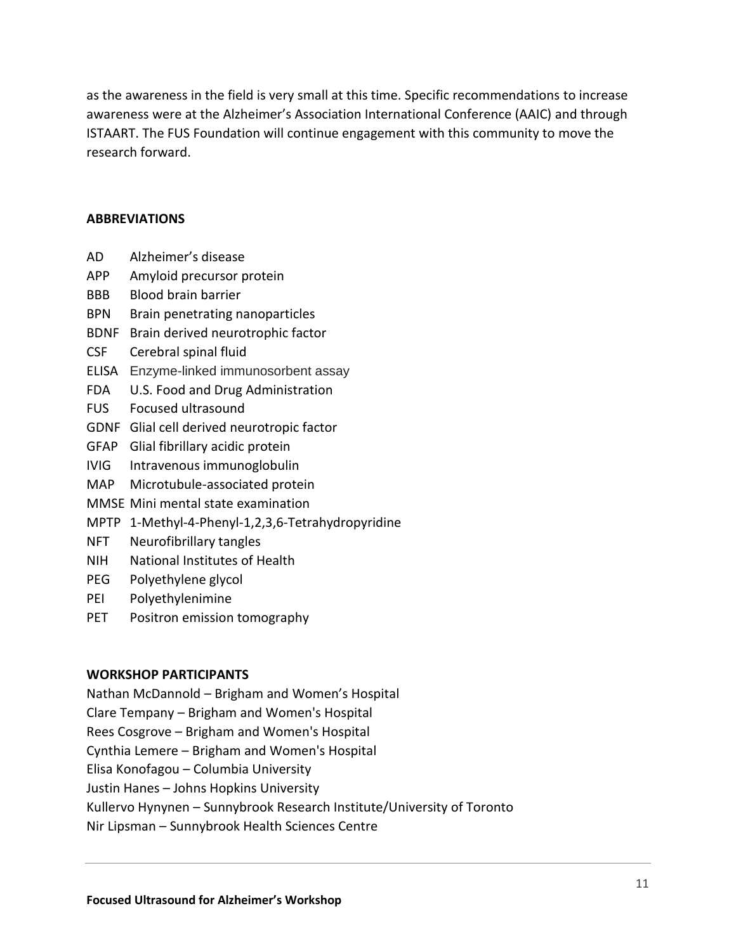as the awareness in the field is very small at this time. Specific recommendations to increase awareness were at the Alzheimer's Association International Conference (AAIC) and through ISTAART. The FUS Foundation will continue engagement with this community to move the research forward.

#### **ABBREVIATIONS**

- AD Alzheimer's disease
- APP Amyloid precursor protein
- BBB Blood brain barrier
- BPN Brain penetrating nanoparticles
- BDNF Brain derived neurotrophic factor
- CSF Cerebral spinal fluid
- ELISA Enzyme-linked immunosorbent assay
- FDA U.S. Food and Drug Administration
- FUS Focused ultrasound
- GDNF Glial cell derived neurotropic factor
- GFAP Glial fibrillary acidic protein
- IVIG Intravenous immunoglobulin
- MAP Microtubule-associated protein
- MMSE Mini mental state examination
- MPTP 1-Methyl-4-Phenyl-1,2,3,6-Tetrahydropyridine
- NFT Neurofibrillary tangles
- NIH National Institutes of Health
- PEG Polyethylene glycol
- PEI Polyethylenimine
- PET Positron emission tomography

### **WORKSHOP PARTICIPANTS**

Nathan McDannold – Brigham and Women's Hospital Clare Tempany – Brigham and Women's Hospital Rees Cosgrove – Brigham and Women's Hospital Cynthia Lemere – Brigham and Women's Hospital Elisa Konofagou – Columbia University Justin Hanes – Johns Hopkins University Kullervo Hynynen – Sunnybrook Research Institute/University of Toronto Nir Lipsman – Sunnybrook Health Sciences Centre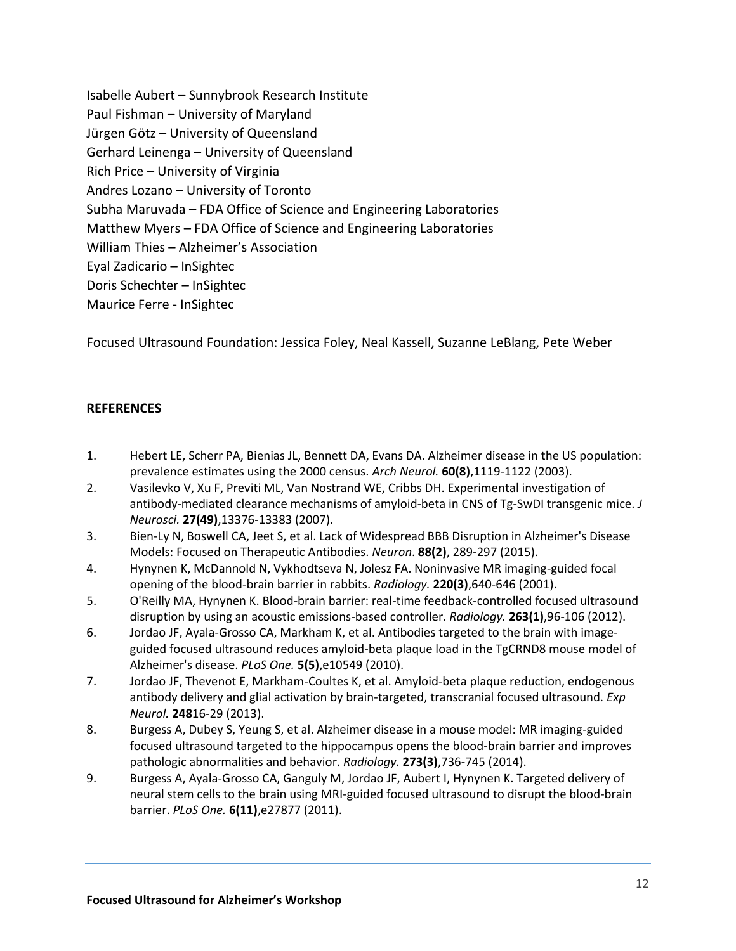Isabelle Aubert – Sunnybrook Research Institute Paul Fishman – University of Maryland Jürgen Götz – University of Queensland Gerhard Leinenga – University of Queensland Rich Price – University of Virginia Andres Lozano – University of Toronto Subha Maruvada – FDA Office of Science and Engineering Laboratories Matthew Myers – FDA Office of Science and Engineering Laboratories William Thies – Alzheimer's Association Eyal Zadicario – InSightec Doris Schechter – InSightec Maurice Ferre - InSightec

Focused Ultrasound Foundation: Jessica Foley, Neal Kassell, Suzanne LeBlang, Pete Weber

### **REFERENCES**

- 1. Hebert LE, Scherr PA, Bienias JL, Bennett DA, Evans DA. Alzheimer disease in the US population: prevalence estimates using the 2000 census. *Arch Neurol.* **60(8)**,1119-1122 (2003).
- 2. Vasilevko V, Xu F, Previti ML, Van Nostrand WE, Cribbs DH. Experimental investigation of antibody-mediated clearance mechanisms of amyloid-beta in CNS of Tg-SwDI transgenic mice. *J Neurosci.* **27(49)**,13376-13383 (2007).
- 3. Bien-Ly N, Boswell CA, Jeet S, et al. Lack of Widespread BBB Disruption in Alzheimer's Disease Models: Focused on Therapeutic Antibodies. *Neuron*. **88(2)**, 289-297 (2015).
- 4. Hynynen K, McDannold N, Vykhodtseva N, Jolesz FA. Noninvasive MR imaging-guided focal opening of the blood-brain barrier in rabbits. *Radiology.* **220(3)**,640-646 (2001).
- 5. O'Reilly MA, Hynynen K. Blood-brain barrier: real-time feedback-controlled focused ultrasound disruption by using an acoustic emissions-based controller. *Radiology.* **263(1)**,96-106 (2012).
- 6. Jordao JF, Ayala-Grosso CA, Markham K, et al. Antibodies targeted to the brain with imageguided focused ultrasound reduces amyloid-beta plaque load in the TgCRND8 mouse model of Alzheimer's disease. *PLoS One.* **5(5)**,e10549 (2010).
- 7. Jordao JF, Thevenot E, Markham-Coultes K, et al. Amyloid-beta plaque reduction, endogenous antibody delivery and glial activation by brain-targeted, transcranial focused ultrasound. *Exp Neurol.* **248**16-29 (2013).
- 8. Burgess A, Dubey S, Yeung S, et al. Alzheimer disease in a mouse model: MR imaging-guided focused ultrasound targeted to the hippocampus opens the blood-brain barrier and improves pathologic abnormalities and behavior. *Radiology.* **273(3)**,736-745 (2014).
- 9. Burgess A, Ayala-Grosso CA, Ganguly M, Jordao JF, Aubert I, Hynynen K. Targeted delivery of neural stem cells to the brain using MRI-guided focused ultrasound to disrupt the blood-brain barrier. *PLoS One.* **6(11)**,e27877 (2011).